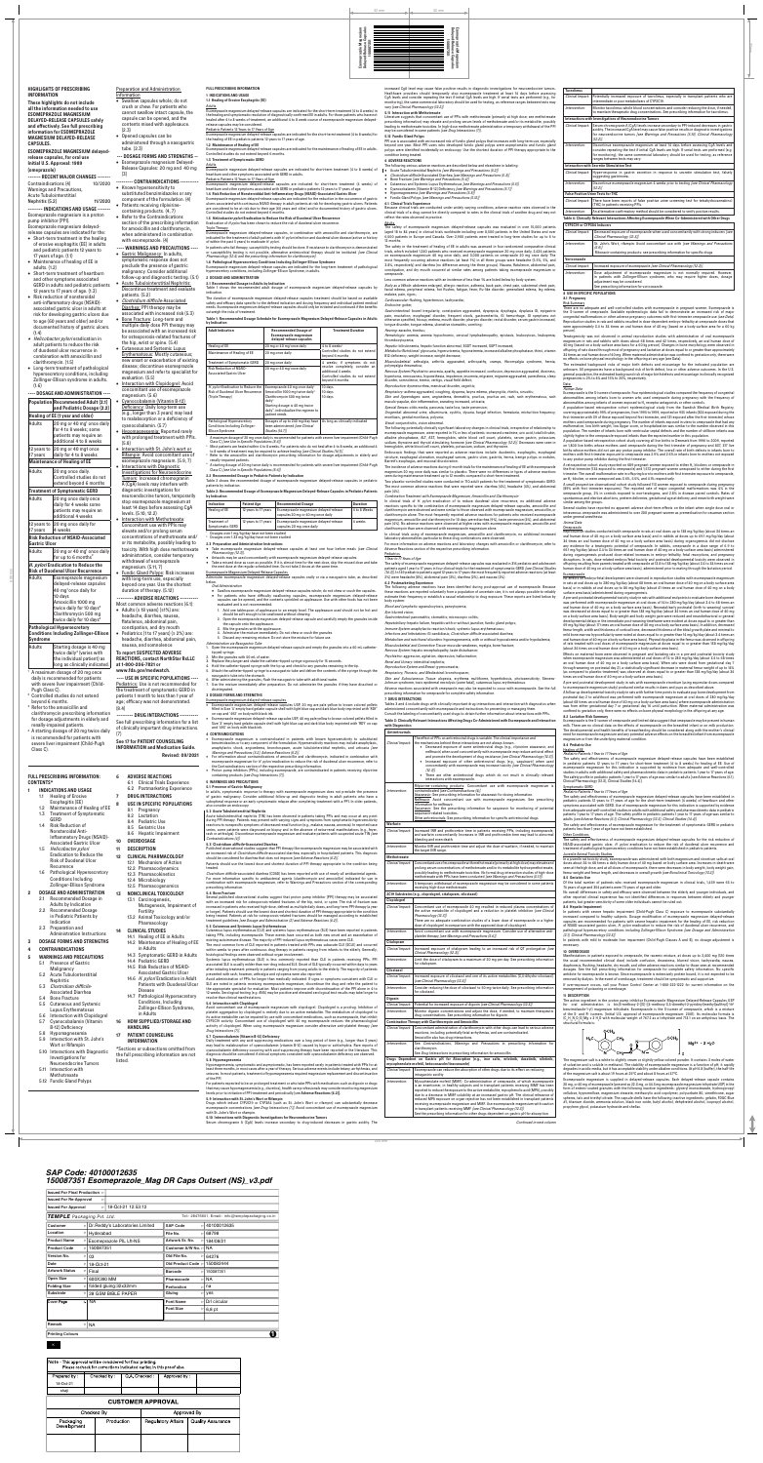600 mm

**FULL PRESCRIBING INFORMATION 1 INDICATIONS AND USAGE 1.1 Healing of Erosive Esophagitis (EE)**

Adults

Esomeprazole magnesium delayed-release capsules are indicated for the short-term treatment (4 to 8 weeks) in the healing and symptomatic resolution of diagnostically confirmed EE in adults. For those patients who have not healed after 4 to 8 weeks of treatment, an additional 4 to 8 week course of esomeprazole magnesium delayedrelease capsules may be considered.

#### Pediatric Patients 12 Years to 17 Years of Age Esomeprazole magnesium delayed-release capsules are indicated for the short-term treatment (4 to 8 weeks) for

Adults<br>Esomeprazole magnesium delayed-release capsules are indicated for short-term treatment (4 to 8 weeks) of<br>heartburn and other symptoms associated with GERD in adults. Pediatric Patients 12 Years to 17 Years of Age

# the healing of EE in pediatric patients 12 years to 17 years of age.

**1.2 Maintenance of Healing of EE** Esomeprazole magnesium delayed-release capsules are indicated for the maintenance of healing of EE in adults. Controlled studies do not extend beyond 6 months.

## **1.3 Treatment of Symptomatic GERD**

Esomeprazole magnesium delayed-release capsules are indicated for short-term treatment (4 weeks) of heartburn and other symptoms associated with GERD in pediatric patients 12 years to 17 years of age. **1.4 Risk Reduction of Nonsteroiddal Anti-Inflammatory Drugs (NSAID)-Associated Gastric Ulcer**

**2.1 Recommended Dosage in Adults by Indication** Table 1 shows the recommended adult dosage of esomeprazole magnesium delayed-release capsules by indicat

Esomeprazole magnesium delayed-release capsules are indicated for the reduction in the occurrence of gastric ulcers associated with continuous NSAID therapy in adult patients at risk for developing gastric ulcers. Patients are considered to be at risk due to their age (60 years and older) and/or documented history of gastric ulcers. Controlled studies do not extend beyond 6 months.

The duration of esomeprazole magnesium delayed-release capsules treatment should be based on available<br>safety and efficacy data specific to the defined indication and dosing frequency and individual patient medical<br>needs. outweigh the risks of treatment.

**1.5 Helicobacter pylori Eradication to Reduce the Risk of Duodenal Ulcer Recurrence**

Eradication of *H.pylori* has been shown to reduce the risk of duodenal ulcer recurrence

**Triple Therapy** Esomeprazole magnesium delayed-release capsules, in combination with amoxicillin and clarithromycin, are indicated for the treatment of adult patients with H. pylori infection and duodenal ulcer disease (active or history

of within the past 5 years) to eradicate H. pylori. In patients who fail therapy, susceptibility testing should be done. If resistance to clarithromycin is deno or susceptibility testing is not possible, alternative antimicrobial therapy should be instituted [see Clinical

Pharmacology (12.4) and the prescribing information for clarithromycin]. **1.6 Pathological Hypersecretory Conditions Including Zollinger-Ellison Syndrome**

Esomeprazole magnesium delayed-release capsules are indicated for the long-term treatment of pathological hypersecretory conditions, including Zollinger-Ellison Syndrome, in adults.

## **2 DOSAGE AND ADMINISTRATION**

Take esomeprazole magnesium delayed-release capsules at least one hour before meals [see Clinical Pharmacology (12.3)].

#### **Table 1: Recommended Dosage Schedule for Esomeprazole Magnesium Delayed-Release Capsules in Adults by Indication**

| <b>Adult Indication</b>                                                                                                                                                                                                                                                                                                                                                                                                                                                                                                                                                                                                                                                                                                                         | <b>Recommended Dosage of</b><br><b>Esomeprazole magnesium</b><br>delaved-release capsules                                                                                                                                                                | <b>Treatment Duration</b>                                                                                    |  |  |  |  |
|-------------------------------------------------------------------------------------------------------------------------------------------------------------------------------------------------------------------------------------------------------------------------------------------------------------------------------------------------------------------------------------------------------------------------------------------------------------------------------------------------------------------------------------------------------------------------------------------------------------------------------------------------------------------------------------------------------------------------------------------------|----------------------------------------------------------------------------------------------------------------------------------------------------------------------------------------------------------------------------------------------------------|--------------------------------------------------------------------------------------------------------------|--|--|--|--|
| Healing of EE                                                                                                                                                                                                                                                                                                                                                                                                                                                                                                                                                                                                                                                                                                                                   | 20 mg or 40 mg <sup>1</sup> once daily                                                                                                                                                                                                                   | 4 to 8 weeks <sup>2</sup>                                                                                    |  |  |  |  |
| Maintenance of Healing of EE                                                                                                                                                                                                                                                                                                                                                                                                                                                                                                                                                                                                                                                                                                                    | 20 mg once daily                                                                                                                                                                                                                                         | Controlled studies do not extend<br>beyond 6 months                                                          |  |  |  |  |
| <b>Treatment of Symptomatic GERD</b>                                                                                                                                                                                                                                                                                                                                                                                                                                                                                                                                                                                                                                                                                                            | 20 mg once daily                                                                                                                                                                                                                                         | 4 weeks; if symptoms do not                                                                                  |  |  |  |  |
| <b>Risk Reduction of NSAID-</b><br><b>Associated Gastric Ulcer</b>                                                                                                                                                                                                                                                                                                                                                                                                                                                                                                                                                                                                                                                                              | 20 mg or 40 mg <sup>1</sup> once daily                                                                                                                                                                                                                   | resolve completely, consider an<br>additional 4 weeks<br>Controlled studies do not extend<br>bevond 6 months |  |  |  |  |
| H. pylori Eradication to Reduce the<br><b>Risk of Duodenal Ulcer Recurrence</b><br>(Triple Therapy)                                                                                                                                                                                                                                                                                                                                                                                                                                                                                                                                                                                                                                             | Esomeprazole 40 mg once daily <sup>1</sup><br>Amoxicillin 1000 mg twice daily <sup>3</sup><br>Clarithromycin 500 mg twice<br>daily <sup>3</sup><br>Starting dosage is 40 mg twice<br>daily <sup>4</sup> ; individualize the regimen to<br>patient needs. | 10 days<br>10 days<br>10 days                                                                                |  |  |  |  |
| Pathological Hypersecretory<br><b>Conditions Including Zollinger-</b><br><b>Ellison Syndrome</b>                                                                                                                                                                                                                                                                                                                                                                                                                                                                                                                                                                                                                                                | Dosages of up to 240 mg/day have<br>been administered [see Clinical<br><b>Studies (14.7)]</b>                                                                                                                                                            | As long as clinically indicated                                                                              |  |  |  |  |
| <sup>1</sup> A maximum dosage of 20 mg once daily is recommended for patients with severe liver impairment (Child-Pugh<br>Class C) [see Use in Specific Populations (8.6)].<br><sup>2</sup> Most patients are healed within 4 to 8 weeks. For patients who do not heal after 4 to 8 weeks, an additional 4<br>to 8 weeks of treatment may be required to achieve healing <i>[see Clinical Studies (14.1)]</i> .<br><sup>3.</sup> Refer to the amoxicillin and clarithromycin prescribing information for dosage adjustments in elderly and<br>renally-impaired patients.<br>4. A starting dosage of 20 mg twice daily is recommended for patients with severe liver impairment (Child-Pugh<br>Class C) [see Use in Specific Populations (8.6)]. |                                                                                                                                                                                                                                                          |                                                                                                              |  |  |  |  |
| 2.2 Recommended Dosage in Pediatric Patients by Indication                                                                                                                                                                                                                                                                                                                                                                                                                                                                                                                                                                                                                                                                                      |                                                                                                                                                                                                                                                          |                                                                                                              |  |  |  |  |

Table 2 shows the recommended dosage of esomeprazole magnesium delayed-release capsules in pediatric patients by indication.

### **Table 2: Recommended Dosage of Esomeprazole Magnesium Delayed-Release Capsules in Pediatric Patients by Indication**

| Indication                                     | <b>Patient Age</b>   | <b>Recommended Dosage</b>                                                    | <b>Duration</b> |  |
|------------------------------------------------|----------------------|------------------------------------------------------------------------------|-----------------|--|
| Healing of EE                                  | 12 years to 17 years | Esomeprazole magnesium delayed-release<br>capsules 20 mg or 40 mg once daily | 4 to 8 Weeks    |  |
| Treatment of<br><b>Symptomatic GERD</b>        | 12 years to 17 years | Esomeprazole magnesium delayed-release<br>capsules 20 mg once daily          | 4 weeks         |  |
| Dosages over 1 mg/kg/day have not been studied |                      |                                                                              |                 |  |

<sup>2</sup> Dosages over 1.33 mg/kg/day have not been studied

**2.3 Preparation and Administration Instructions**

• Antacids may be used concomitantly with esomeprazole magnesium delayed-release capsules. • Take a missed dose as soon as possible. If it is almost time for the next dose, skip the missed dose and take

the next dose at the regular scheduled time. Do not take 2 doses at the same time. Esomeprazole Magnesium Delayed-Release Capsules Administer esomeprazole magnesium delayed-release capsules orally or via a nasogastric tube, as described

below. Oral Administration

 $(2.3)$ • Opened capsules can be administered through a nasogastric tube. (2.3) **--- DOSAGE FORMS AND STRENGTHS --** • Esomeprazole magnesium Delayed-Release Capsules: 20 mg and 40 mg (3) **--------- CONTRAINDICATIONS ----------**

> ause clinical trials are conducted under widely varying conditions, adverse reaction rates observed in the clinical trials of a drug cannot be directly compared to rates in the clinical trials of another drug and may not reflect the rates observed in practice.

> Body as a Whole: abdomen enlarged, allergic reaction, asthenia, back pain, chest pain, substernal chest pain, facial edema, peripheral edema, hot flushes, fatigue, fever, flu-like disorder, generalized edema, leg edema, malaise, pain, rigors;

#### Cardiovascular: flushing, hypertension, tachycardia; Endocrine: goiter;

Gastrointestinal: bowel irregularity, constipation aggravated, dyspepsia, dysphagia, dysplasia GI, epigastric pain, eructation, esophageal disorder, frequent stools, gastroenteritis, GI hemorrhage, GI symptoms not otherwise specified, hiccup, melena, mouth disorder, pharynx disorder, rectal disorder, serum gastrin increased, tongue disorder, tongue edema, ulcerative stomatitis, vomiting;

Hematologic: anemia, anemia hypochromic, cervical lymphadenopathy, epistaxis, leukocytosis, leukopenia, thrombocytopenia;

Hepatic: bilirubinemia, hepatic function abnormal, SGOT increased, SGPT increased;

*Metabolic/Nutritional:* glycosuria, hyperuricemia, hyponatremia, increased alkaline phosphatase, thirst, vitamin<br>B12 deficiency, weight increase, weight decrease; Musculoskeletal: arthralgia, arthritis aggravated, arthropathy, cramps, fibromyalgia syndrome

The incidence of adverse reactions during 6-month trials for the maintenance of healing of EE with esomeprazole magnesium 20 mg once daily was similar to placebo. There were no differences in types of adverse reactions seen during maintenance treatment up to 12 months compared to short-term treatment. A retrospective cohort study reported on 689 pregnant women exposed to either H<sub>2</sub> blockers or omeprazole ir<br>the first trimester (134 exposed to omeprazole) and 1,572 pregnant women unexposed to either during the first<br>tri an H<sub>2</sub>-blocker, or were unexposed was 3.6%, 5.5%, and 4.1% respectively.

**5.10 Interactions with Diagnostic Investigations for Neuroendocrine Tumors** Serum chromogranin A (CgA) levels increase secondary to drug-induced decreases in gastric acidity. The

Continued in next columi

**HIGHLIGHTS OF PRESCRIBING INFORMATION These highlights do not include all the information needed to use**

**ESOMEPRAZOLE MAGNESIUM DELAYED-RELEASE CAPSULES safely and effectively. See full prescribing information for ESOMEPRAZOLE MAGNESIUM DELAYED-RELEASE CAPSULES. ESOMEPRAZOLE MAGNESIUM delayedrelease capsules, for oral use Initial U.S. Approval: 1989 (omeprazole) ------- RECENT MAJOR CHANGES -------**<br>Contraindications (4) 10/2020 Contraindications (4) Warnings and Precautions,

> In clinical trials of H. pylori eradication of to reduce duodenal ulcer recurrence, no additional adverse reactions specific to the combination of esomeprazole magnesium delayed-release capsules, amoxicillin and clarithromycin were observed and were similar to those observed with esomeprazole magnesium, amoxicillin, or clarithromycin alone. The most frequently reported adverse reactions for patients who received esomeprazole magnesium, amoxicillin and clarithromycin for 10 days were diarrhea (9%), taste perversion (4%), and abdominal pain (4%). No adverse reactions were observed at higher rates with esomeprazole magnesium, amoxicillin and clarithromycin than were observed with esomeprazole magnesium alone.

Acute Tubulointerstitial Nephritis (5.2) 11/2020 **-------- INDICATIONS AND USAGE -------**

Esomeprazole magnesium is a proton pump inhibitor (PPI). Esomeprazole magnesium delayedrelease capsules are indicated for the:

> The safety of esomeprazole magnesium delayed-release capsules was evaluated in 316 pediatric and adolescent<br>patients aged 1 year to 17 years in four clinical trials for the treatment of symptomatic GERD *[see Clinical Stud*  $(14.3)$ ]. In 149 pediatric patients aged 12 years to 17 years the most frequently reported adverse reactions (at least 2%) were headache (8%), abdominal pain (3%), diarrhea (2%), and nausea (2%).

- Short-term treatment in the healing of erosive esophagitis (EE) in adults and pediatric patients 12 years to 17 years of age. (1.1)
- Maintenance of healing of EE in adults. (1.2)
- Short-term treatment of heartburn and other symptoms associated GERD in adults and pediatric patients 12 years to 17 years of age. (1.3)
- Risk reduction of nonsteroidal anti-inflammatory drugs (NSAID) associated gastric ulcer in adults at risk for developing gastric ulcers due to age (60 years and older) and/or documented history of gastric ulcers.  $(1.4)$
- Helicobacter pylori eradication in adult patients to reduce the risk of duodenal ulcer recurrence in combination with amoxicillin and clarithromycin. (1.5)
- Long-term treatment of pathological hypersecretory conditions, including Zollinger-Ellison syndrome in adults. (1.6)

**---- DOSAGE AND ADMINISTRATION ---- Population Recommended Adult (2.1) and Pediatric Dosage (2.2)**

**H. pylori Eradication to Reduce the Risk of Duodenal Ulcer Recurrence** Adults Esomeprazole magnesium

**Healing of EE (1 year and older)** Adults 20 mg or 40 mg<sup>1</sup> once daily for 4 to 8 weeks; some patients may require an additional 4 to 8 weeks 12 years to 20 mg or 40 mg1 once 17 years daily for 4 to 8 weeks **Maintenance of Healing of EE** Adults 20 mg once daily. Controlled studies do not extend beyond 6 months **Treatment of Symptomatic GERD** Adults 20 mg once daily once daily for 4 weeks some patients may require an additional 4 weeks 12 years to 20 mg once daily for 17 years 4 weeks **Risk Reduction of NSAID-Associated Gastric Ulcer** Adults 20 mg or 40 mg<sup>1</sup> once daily for up to 6 months $2$ withdrawal of esomeprazole

Preparation and Administration

**Information** 

• Swallow capsules whole; do not crush or chew. For patients who cannot swallow intact capsule, the capsule can be opened, and the contents mixed with applesauce.

• Known hypersensitivity to substituted benzimidazoles or any component of the formulation. (4) • Patients receiving rilpivirinecontaining products. (4, 7) • Refer to the Contraindications section of the prescribing information for amoxicillin and clarithromycin, when administered in combination with esomeprazole. (4)

**---- WARNINGS AND PRECAUTIONS ----** • Gastric Malignancy: In adults, symptomatic response does not preclude the presence of gastric malignancy. Consider additional follow-up and diagnostic testing. (5.1) • Acute Tubulointerstitial Nephritis: Discontinue treatment and evaluate

patients. (5.2) • Clostridium difficile-Associated Diarrhea: PPI therapy may be associated with increased risk (5.3) • Bone Fracture: Long-term and multiple daily dose PPI therapy may be associated with an increased risk for osteoporosis-related fractures of

the S-isomer of omeprazole. Available epidemiologic data fail to demonstrate an increased risk of major<br>congenital malformations or other adverse pregnancy outcomes with first trimester omeprazole use (see Data) oduction studies in rats and rabbits resulted in dose-dependent embryo-lethality at omeprazole doses that were approximately 3.4 to 34 times an oral human dose of 40 mg (based on a body surface area for a 60 kg person).

the hip, wrist or spine. (5.4) • Cutaneous and Systemic Lupus Erythematosus: Mostly cutaneous; new onset or exacerbation of existing disease; discontinue esomeprazole magnesium and refer to specialist for evaluation. (5.5) • Interaction with Clopidogrel: Avoid concomitant use of esomeprazole

magnesium. (5.6)

.<br>Teratogenicity was not observed in animal reproduction studies with administration of oral esomeprazo magnesium in rats and rabbits with doses about 68 times and 42 times, respectively, an oral human dose of 40 mg (based on a body surface area basis for a 60 kg person). Changes in bone morphology were observed in offspring of rats dosed through most of pregnancy and lactation at doses equal to or greater than approximately 34 times an oral human dose of 40 mg. When maternal administration was confined to gestation only, there were no effects on bone physeal morphology in the offspring at any age (see Data).

The estimated background risks of major birth defects and miscarriage for the indicated population are unknown. All pregnancies have a background risk of birth defect, loss or other adverse outcomes. In the U.S. general population, the estimated background risk of major birth defects and miscarriage in clinically recognized pregnancies is 2% to 4% and 15% to 20%, respectively. **Data** 

• Cyanocobalamin (Vitamin B-12) Deficiency: Daily long-term use (e.g., longer than 3 years) may lead to malabsorption or a deficiency of cyanocobalamin. (5.7) • Hypomagnesemia: Reported rarely with prolonged treatment with PPIs. (5.8)

• Interaction with St. John's wort or Rifampin: Avoid concomitant use of esomeprazole magnesium. (5.9, 7) • Interactions with Diagnostic Investigations for Neuroendocrine Tumors: Increased chromogranin

A (CgA) levels may interfere with diagnostic investigations for neuroendocrine tumors, temporarily stop esomeprazole magnesium at least 14 days before assessing CgA levels. (5.10, 12.2) • Interaction with Methotrexate: Concomitant use with PPIs may elevate and/or prolong serum concentrations of methotrexate and/ or its metabolite, possibly leading to toxicity. With high dose methotrexate administration, consider temporary

A population-based retrospective cohort study covering all live births in Denmark from 1996 to 2009, reported on 1,800 live births whose mothers used omeprazole during the first trimester of pregnancy and 837, 317 live<br>births whose mothers did not use any proton pump inhibitor. The overall rate of birth defects in infants born t<br>m

magnesium. (5.11, 7)

• Fundic Gland Polyps: Risk increases with long-term use, especially beyond one year. Use the shortest

| delayed-release capsules                                                                | beyond one year. Use the shortest                                                     | Oral Administration                                                                                                                                                                                                                   | 6.2 Postmarketing Experience | The following adverse reactions have been identified during post-approval use of esomeprazole. Because                                                                               |
|-----------------------------------------------------------------------------------------|---------------------------------------------------------------------------------------|---------------------------------------------------------------------------------------------------------------------------------------------------------------------------------------------------------------------------------------|------------------------------|--------------------------------------------------------------------------------------------------------------------------------------------------------------------------------------|
| 40 mg <sup>1</sup> once daily for                                                       | duration of therapy. (5.12)                                                           | • Swallow esomeprazole magnesium delayed-release capsules whole; do not chew or crush the capsules.<br>• For patients who have difficulty swallowing capsules, esomeprazole magnesium delayed-release                                 |                              | these reactions are reported voluntarily from a population of uncertain size, it is not always possible to reliably                                                                  |
| 10 days<br>Amoxicillin 1000 mg                                                          | --------- ADVERSE REACTIONS ----------                                                | capsules can be opened, and the contents sprinkled on applesauce. Use with other foods has not been                                                                                                                                   | body system:                 | estimate their frequency or establish a causal relationship to drug exposure. These reports are listed below by                                                                      |
| twice daily for 10 days <sup>3</sup>                                                    | Most common adverse reactions (6.1):<br>• Adults ( $\geq$ 18 years) ( $\geq$ 1%) are: | evaluated and is not recommended.                                                                                                                                                                                                     |                              | Blood and Lymphatic: agranulocytosis, pancytopenia;                                                                                                                                  |
| Clarithromycin 500 mg                                                                   | headache, diarrhea, nausea,                                                           | 1. Add one tablespoon of applesauce to an empty bowl. The applesauce used should not be hot and<br>should be soft enough to be swallowed without chewing                                                                              | Eye: blurred vision;         |                                                                                                                                                                                      |
| twice daily for 10 days <sup>3</sup>                                                    | flatulence, abdominal pain,                                                           | 2. Open the esomeprazole magnesium delayed-release capsule and carefully empty the granules inside<br>the capsule onto the applesauce.                                                                                                |                              | Gastrointestinal: pancreatitis; stomatitis; microscopic colitis;<br>Hepatobiliary: hepatic failure, hepatitis with or without jaundice; fundic gland polyps;                         |
| <b>Pathological Hypersecretory</b>                                                      | constipation, and dry mouth                                                           | 3. Mix the granules with the applesauce.                                                                                                                                                                                              |                              | Immune System: anaphylactic reaction/shock; systemic lupus erythematosus;                                                                                                            |
| <b>Conditions Including Zollinger-Ellison</b>                                           | Pediatrics (1 to 17 years) (≥ 2%) are:                                                | 4. Administer the mixture immediately. Do not chew or crush the granules<br>5. Discard any remaining mixture. Do not store the mixture for future use.                                                                                |                              | Infections and Infestations: GI candidiasis; Clostridium difficile-associated diarrhea;                                                                                              |
| Syndrome                                                                                | headache, diarrhea, abdominal pain,                                                   | Administration via Nasogastric Tube                                                                                                                                                                                                   |                              | Metabolism and nutritional disorders: hypomagnesemia, with or without hypocalcemia and/or hypokalemia;                                                                               |
| Starting dosage is 40 mg<br>Adults                                                      | nausea, and somnolence                                                                | 1. Open the esomeprazole magnesium delayed-release capsule and empty the granules into a 60 mL catheter-                                                                                                                              |                              | Musculoskeletal and Connective Tissue: muscular weakness, myalgia, bone fracture;<br>Nervous System: hepatic encephalopathy, taste disturbance;                                      |
| twice daily <sup>4</sup> (varies with                                                   | To report SUSPECTED ADVERSE                                                           | tipped syringe.<br>2. Mix the granules with 50 mL of water.                                                                                                                                                                           |                              | Psychiatric: aggression, agitation, depression, hallucination;                                                                                                                       |
| the individual patient) as<br>long as clinically indicated.                             | <b>REACTIONS, contact NorthStar RxLLC</b><br>at 1-800-206-7821 or                     | 3. Replace the plunger and shake the catheter-tipped syringe vigorously for 15 seconds.                                                                                                                                               |                              | Renal and Urinary: interstitial nephritis;                                                                                                                                           |
|                                                                                         | www.fda.gov/medwatch.                                                                 | 4. Hold the catheter-tipped syringe with the tip up and check for any granules remaining in the tip.<br>5. Attach the catheter-tipped syringe to a nasogastric tube and deliver the contents of the syringe through the               |                              | Reproductive System and Breast: gynecomastia;                                                                                                                                        |
| <sup>1</sup> A maximum dosage of 20 mg once                                             |                                                                                       | nasogastric tube into the stomach.                                                                                                                                                                                                    |                              | Respiratory, Thoracic, and Mediastinal: bronchospasm;<br>Skin and Subcutaneous Tissue: alopecia, erythema multiforme, hyperhidrosis, photosensitivity, Stevens-                      |
| daily is recommended for patients<br>with severe liver impairment (Child-               | ---- USE IN SPECIFIC POPULATIONS ----<br>Pediatrics: Use is not recommended for       | 6. After administering the granules, flush the nasogastric tube with additional water.<br>7. Use the mixture immediately after preparation. Do not administer the granules if they have dissolved or                                  |                              | Johnson syndrome, toxic epidermal necrolysis (some fatal), cutaneous lupus erythematosus.                                                                                            |
| Pugh Class C).                                                                          | the treatment of symptomatic GERD in                                                  | disintegrated.                                                                                                                                                                                                                        |                              | Adverse reactions associated with omeprazole may also be expected to occur with esomeprazole. See the full                                                                           |
| <sup>2</sup> Controlled studies do not extend                                           | patients 1 month to less than 1 year of                                               | 3 DOSAGE FORMS AND STRENGTHS                                                                                                                                                                                                          |                              | prescribing information for omeprazole for complete safety information.                                                                                                              |
| beyond 6 months.                                                                        | age; efficacy was not demonstrated.                                                   | Esomeprazole magnesium delayed-release capsules<br>• Esomeprazole magnesium delayed-release capsules USP, 20 mg are pale yellow to brown colored pellets                                                                              | <b>7 DRUG INTERACTIONS</b>   | Tables 3 and 4 include drugs with clinically important drug interactions and interaction with diagnostics when                                                                       |
| <sup>3</sup> Refer to the amoxicillin and                                               | (8.4)                                                                                 | filled in Size '4' empty hard gelatin capsule shell with light blue cap and dark blue body imprinted with 'RDY'                                                                                                                       |                              | administered concomitantly with esomeprazole and instructions for preventing or managing them.                                                                                       |
| clarithromycin prescribing information                                                  | --------- DRUG INTERACTIONS ----------                                                | on cap and '492' on body with black ink.                                                                                                                                                                                              |                              | Consult the labeling of concomitantly used drugs to obtain further information about interactions with PPIs.                                                                         |
| for dosage adjustments in elderly and                                                   | See full prescribing information for a list                                           | · Esomeprazole magnesium delayed-release capsules USP, 40 mg pale yellow to brown colored pellets filled in<br>Size '3' empty hard gelatin capsule shell with light blue cap and dark blue body imprinted with 'RDY' on cap           |                              | Table 3: Clinically Relevant Interactions Affecting Drugs Co-Administered with Esomeprazole and Interaction                                                                          |
| renally-impaired patients.                                                              | of clinically important drug interactions.                                            | and '493' on body with black ink.                                                                                                                                                                                                     | with Diagnostics             |                                                                                                                                                                                      |
| <sup>4</sup> A starting dosage of 20 mg twice daily<br>is recommended for patients with | (7)                                                                                   | 4 CONTRAINDICATIONS                                                                                                                                                                                                                   | <b>Antiretrovirals</b>       |                                                                                                                                                                                      |
| severe liver impairment (Child-Pugh                                                     | See 17 for PATIENT COUNSELING                                                         | • Esomeprazole magnesium is contraindicated in patients with known hypersensitivity to substituted<br>benzimidazoles or to any component of the formulation. Hypersensitivity reactions may include anaphylaxis,                      | Clinical Impact:             | The effect of PPIs on antiretroviral drugs is variable. The clinical importance and<br>the mechanisms behind these interactions are not always known.                                |
| Class C).                                                                               | <b>INFORMATION and Medication Guide.</b>                                              | anaphylactic shock, angioedema, bronchospasm, acute tubulointerstitial nephritis, and urticaria /see                                                                                                                                  |                              | • Decreased exposure of some antiretroviral drugs (e.g., rilpivirine atazanavir, and                                                                                                 |
|                                                                                         | <b>Revised: 09/2021</b>                                                               | Warnings and Precautions (5.2), Adverse Reactions (6.2)].<br>• For information about contraindications of amoxicillin and clarithromycin, indicated in combination with                                                               |                              | nelfinavir) when used concomitantly with esomeprazole may reduce antiviral effect<br>and promote the development of drug resistance [see Clinical Pharmacology (12.3)]               |
|                                                                                         |                                                                                       | esomeprazole magnesium for <i>H. pylori</i> eradication to reduce the risk of duodenal ulcer recurrence, refer to                                                                                                                     |                              | • Increased exposure of other antiretroviral drugs (e.g., saquinavir) when used                                                                                                      |
|                                                                                         |                                                                                       | the Contraindications section of the respective prescribing information.<br>• Proton pump inhibitors (PPIs), including esomeprazole, are contraindicated in patients receiving rilpivirine                                            |                              | concomitantly with esomeprazole may increase toxicity [see Clinical Pharmacology<br>$(12.3)$ ].                                                                                      |
| <b>FULL PRESCRIBING INFORMATION:</b>                                                    | <b>ADVERSE REACTIONS</b><br>6                                                         | containing products [see Drug Interactions (7)].                                                                                                                                                                                      |                              | • There are other antiretroviral drugs which do not result in clinically relevant                                                                                                    |
| <b>CONTENTS*</b>                                                                        | Clinical Trials Experience<br>6.1                                                     | 5 WARNINGS AND PRECAUTIONS                                                                                                                                                                                                            |                              | interactions with esomeprazole.                                                                                                                                                      |
| <b>INDICATIONS AND USAGE</b>                                                            | 6.2 Postmarketing Experience                                                          | 5.1 Presence of Gastric Malignancy                                                                                                                                                                                                    | Intervention:                | Rilpivirine-containing products: Concomitant use with esomeprazole magnesium is<br>contraindicated [see Contraindications (4)].                                                      |
| 1.1 Healing of Erosive                                                                  | <b>DRUG INTERACTIONS</b><br>-7                                                        | In adults, symptomatic response to therapy with esomeprazole magnesium does not preclude the presence<br>of gastric malignancy. Consider additional follow-up and diagnostic testing in adult patients who have a                     |                              | Atazanavir: See prescribing information for atazanavir for dosing information.                                                                                                       |
| Esophagitis (EE)                                                                        | USE IN SPECIFIC POPULATIONS<br>8                                                      | suboptimal response or an early symptomatic relapse after completing treatment with a PPI. In older patients,                                                                                                                         |                              | Nelfinavir: Avoid concomitant use with esomeprazole magnesium. See prescribing<br>information for nelfinavir.                                                                        |
| 1.2 Maintenance of Healing of EE                                                        | 8.1 Pregnancy                                                                         | also consider an endoscopy.<br>5.2 Acute Tubulointerstitial Nephritis                                                                                                                                                                 |                              | Saquinavir: See the prescribing information for saquinavir for monitoring of potential                                                                                               |
| 1.3<br><b>Treatment of Symptomatic</b>                                                  | 8.2 Lactation                                                                         | Acute tubulointerstitial nephritis (TIN) has been observed in patients taking PPIs and may occur at any point                                                                                                                         |                              | saquinavir-related toxicities.<br>Other antiretrovirals: See prescribing information for specific antiretroviral drugs                                                               |
| GERD                                                                                    | Pediatric Use<br>8.4                                                                  | during PPI therapy. Patients may present with varying signs and symptoms from symptomatic hypersensitivity                                                                                                                            | Warfarin                     |                                                                                                                                                                                      |
| <b>Risk Reduction of</b><br>1.4                                                         | 8.5 Geriatric Use                                                                     | reactions to nonspecific symptoms of decreased renal function (e.g., malaise, nausea, anorexia). In reported case<br>series, some patients were diagnosed on biopsy and in the absence of extra-renal manifestations (e.g., fever,    | Clinical Impact:             | Increased INR and prothrombin time in patients receiving PPIs, including esomeprazole,                                                                                               |
| Nonsteroidal Anti-<br>Inflammatory Drugs (NSAID)-                                       | 8.6 Hepatic Impairment                                                                | rash or arthralgia). Discontinue esomeprazole magnesium and evaluate patients with suspected acute TIN [see                                                                                                                           |                              | and warfarin concomitantly. Increases in INR and prothrombin time may lead to abnormal                                                                                               |
| <b>Associated Gastric Ulcer</b>                                                         | OVERDOSAGE<br>10                                                                      | Contraindications (4)].<br>5.3 Clostridium difficile-Associated Diarrhea                                                                                                                                                              |                              | bleeding and even death.                                                                                                                                                             |
| Helicobacter pylori<br>1.5                                                              | <b>DESCRIPTION</b><br>11                                                              | Published observational studies suggest that PPI therapy like esomeprazole magnesium may be associated with                                                                                                                           | Intervention:                | Monitor INR and prothrombin time and adjust the dose of warfarin, if needed, to maintain<br>the target INR range.                                                                    |
| <b>Eradication to Reduce the</b>                                                        | 12 <sup>2</sup><br><b>CLINICAL PHARMACOLOGY</b>                                       | an increased risk of <i>Clostridium difficile</i> -associated diarrhea, especially in hospitalized patients. This diagnosis                                                                                                           | Methotrexate                 |                                                                                                                                                                                      |
| <b>Risk of Duodenal Ulcer</b>                                                           | 12.1 Mechanism of Action                                                              | should be considered for diarrhea that does not improve [see Adverse Reactions (6.2)].<br>Patients should use the lowest dose and shortest duration of PPI therapy appropriate to the condition being                                 | Clinical Impact:             | Concomitant use of esomeprazole with methotrexate (primarily at high dose) may elevate and                                                                                           |
| Recurrence                                                                              | 12.2 Pharmacodynamics                                                                 | treated.                                                                                                                                                                                                                              |                              | prolong serum concentrations of methotrexate and/or its metabolite hydroxymethotrexate,                                                                                              |
| 1.6 Pathological Hypersecretory                                                         | 12.3 Pharmacokinetics                                                                 | Clostridium difficile-associated diarrhea (CDAD) has been reported with use of nearly all antibacterial agents.                                                                                                                       |                              | possibly leading to methotrexate toxicities. No formal drug interaction studies of high-dose<br>methotrexate with PPIs have been conducted [see Warnings and Precautions (5.11)]     |
| <b>Conditions Including</b>                                                             | 12.4 Microbiology                                                                     | For more information specific to antibacterial agents (clarithromycin and amoxicillin) indicated for use in<br>combination with esomeprazole magnesium, refer to Warnings and Precautions section of the corresponding                | Intervention:                | A temporary withdrawal of esomeprazole magnesium may be considered in some patients                                                                                                  |
| Zollinger-Ellison Syndrome                                                              | 12.5 Pharmacogenomics                                                                 | prescribing information.                                                                                                                                                                                                              |                              | receiving high-dose methotrexate.                                                                                                                                                    |
| <b>DOSAGE AND ADMINISTRATION</b>                                                        | 13<br>NONCLINICAL TOXICOLOGY                                                          | 5.4 Bone Fracture<br>Several published observational studies suggest that proton pump inhibitor (PPI) therapy may be associated                                                                                                       |                              | 2C19 Substrates (e.g., clopidogrel, citalopram, cilostazol)                                                                                                                          |
| 2.1 Recommended Dosage in<br>Adults by Indication                                       | 13.1 Carcinogenesis,                                                                  | with an increased risk for osteoporosis-related fractures of the hip, wrist, or spine. The risk of fracture was                                                                                                                       | Clopidogrel                  |                                                                                                                                                                                      |
| 2.2 Recommended Dosage                                                                  | Mutagenesis, Impairment of                                                            | increased in patients who received high-dose, defined as multiple daily doses, and long-term PPI therapy (a year<br>or longer). Patients should use the lowest dose and shortest duration of PPI therapy appropriate to the condition | Clinical Impact:             | Concomitant use of esomeprazole 40 mg resulted in reduced plasma concentrations of<br>the active metabolite of clopidogrel and a reduction in platelet inhibition [see Clinical      |
| in Pediatric Patients by                                                                | Fertility<br>13.2 Animal Toxicology and/or                                            | being treated. Patients at risk for osteoporosis-related fractures should be managed according to established                                                                                                                         |                              | Pharmacology (12.3)].                                                                                                                                                                |
| Indication                                                                              | Pharmacology                                                                          | treatment guidelines [see Dosage and Administration (2) and Adverse Reactions (6.2)].                                                                                                                                                 |                              | There are no adequate combination studies of a lower dose of esomeprazole or a higher                                                                                                |
| 2.3 Preparation and                                                                     | <b>CLINICAL STUDIES</b><br>14                                                         | 5.5 Cutaneous and Systemic Lupus Erythematosus<br>Cutaneous lupus erythematosus (CLE) and systemic lupus erythematosus (SLE) have been reported in patients                                                                           | Intervention:                | dose of clopidogrel in comparison with the approved dose of clopidogrel.<br>Avoid concomitant use with esomeprazole magnesium. Consider use of alternative anti-                     |
| <b>Administration Instructions</b>                                                      | 14.1 Healing of EE in Adults                                                          | taking PPIs, including esomeprazole. These events have occurred as both new onset and an exacerbation of                                                                                                                              |                              | platelet therapy [see Warnings and Precautions (5.6)].                                                                                                                               |
| <b>DOSAGE FORMS AND STRENGTHS</b>                                                       | 14.2 Maintenance of Healing of EE                                                     | existing autoimmune disease. The majority of PPI-induced lupus erythematosus cases were CLE.                                                                                                                                          | Citalopram                   |                                                                                                                                                                                      |
| <b>CONTRAINDICATIONS</b>                                                                | in Adults                                                                             | The most common form of CLE reported in patients treated with PPIs was subacute CLE (SCLE) and occurred<br>within weeks to vears after continuous drug therapy in patients ranging from infants to the elderly. Generally,            | Clinical Impact:             | Increased exposure of citalopram leading to an increased risk of QT prolongation [see                                                                                                |
| <b>WARNINGS AND PRECAUTIONS</b>                                                         | 14.3 Symptomatic GERD in Adults                                                       | histological findings were observed without organ involvement.                                                                                                                                                                        |                              | Clinical Pharmacology (12.3)].                                                                                                                                                       |
| 5.1 Presence of Gastric                                                                 | 14.4 Pediatric GERD                                                                   | Systemic lupus erythematosus (SLE) is less commonly reported than CLE in patients receiving PPIs. PPI<br>associated SLE is usually milder than non-drug induced SLE. Onset of SLE typically occurred within days to years             | Intervention:                | Limit the dose of citalopram to a maximum of 20 mg per day. See prescribing information<br>for citalopram.                                                                           |
| Malignancy                                                                              | 14.5 Risk Reduction of NSAID-                                                         | after initiating treatment primarily in patients ranging from young adults to the elderly. The majority of patients                                                                                                                   | Cilostazol                   |                                                                                                                                                                                      |
| 5.2 Acute Tubulonterstitial                                                             | <b>Associated Gastric Ulcer</b>                                                       | presented with rash; however, arthralgia and cytopenia were also reported.                                                                                                                                                            | Clinical Impact:             | Increased exposure of cilostazol and one of its active metabolites (3,4-dihydro-cilostazol)                                                                                          |
| Nephritis                                                                               | 14.6 H. pylori Eradication in Adult                                                   | Avoid administration of PPIs for longer than medically indicated. If signs or symptoms consistent with CLE or<br>SLE are noted in patients receiving esomeprazole magnesium, discontinue the drug and refer the patient to            |                              | [see Clinical Pharmacology (12.3)].                                                                                                                                                  |
| Clostridium difficile-<br>5.3                                                           | <b>Patients with Duodenal Ulcer</b><br><b>Disease</b>                                 | the appropriate specialist for evaluation. Most patients improve with discontinuation of the PPI alone in 4 to                                                                                                                        | Intervention:                | Consider reducing the dose of cilostazol to 50 mg twice daily. See prescribing information                                                                                           |
| <b>Associated Diarrhea</b>                                                              | 14.7 Pathological Hypersecretory                                                      | 12 weeks. Serological testing (e.g. ANA) may be positive and elevated serological test results may take longer to                                                                                                                     |                              | for cilostazol.                                                                                                                                                                      |
| <b>Bone Fracture</b><br>5.4                                                             | Conditions, Including                                                                 | resolve than clinical manifestations.<br>5.6 Interaction with Clopidogrel                                                                                                                                                             | Digoxin                      |                                                                                                                                                                                      |
| 5.5 Cutaneous and Systemic                                                              | Zollinger-Ellison Syndrome,                                                           | Avoid concomitant use of esomeprazole magnesium with clopidogrel. Clopidogrel is a prodrug. Inhibition of                                                                                                                             | Clinical Impact:             | Potential for increased exposure of digoxin [see Clinical Pharmacology (12.3)].                                                                                                      |
| Lupus Erythematosus<br>5.6 Interaction with Clopidogrel                                 | in Adults                                                                             | platelet aggregation by clopidogrel is entirely due to an active metabolite. The metabolism of clopidogrel to                                                                                                                         | Intervention:                | Monitor digoxin concentrations and adjust the dose, if needed, to maintain therapeutic<br>drug concentrations. See prescribing information for digoxin.                              |
| Cyanocobalamin (Vitamin<br>5.7                                                          | <b>HOW SUPPLIED/STORAGE AND</b><br>16                                                 | its active metabolite can be impaired by use with concomitant medications, such as esomeprazole, that inhibit<br>CYP2C19 activity. Concomitant use of clopidogrel with 40 mg esomeprazole reduces the pharmacological                 |                              | <b>Combination Therapy with Clarithromycin and Amoxicillin</b>                                                                                                                       |
| B-12) Deficiency                                                                        | <b>HANDLING</b>                                                                       | activity of clopidogrel. When using esomeprazole magnesium consider alternative anti-platelet therapy [see                                                                                                                            | Clinical Impact:             | Concomitant administration of clarithromycin with other drugs can lead to serious adverse                                                                                            |
| 5.8 Hypomagnesemia                                                                      | <b>PATIENT COUNSELING</b><br>17                                                       | Drug Interactions (7)].<br>5.7 Cyanocobalamin (Vitamin B-12) Deficiency                                                                                                                                                               |                              | reactions, including potentially fatal arrhythmias, and are contraindicated.                                                                                                         |
| 5.9 Interaction with St. John's                                                         | <b>INFORMATION</b>                                                                    | Daily treatment with any acid-suppressing medications over a long period of time (e.g., longer than 3 years)                                                                                                                          |                              | Amoxicillin also has drug interactions.                                                                                                                                              |
| Wort or Rifampin                                                                        | *Sections or subsections omitted from                                                 | may lead to malabsorption of cyanocobalamin (vitamin B-12) caused by hypo-or achlorhydria. Rare reports of                                                                                                                            | Intervention:                | See <i>Contraindications</i> , <i>Warnings</i> and <i>Precautions</i> in prescribing information for<br>clarithromycin.                                                              |
| 5.10 Interactions with Diagnostic                                                       | the full prescribing information are not                                              | cyanocobalamin deficiency occurring with acid-suppressing therapy have been reported in the literature. This<br>diagnosis should be considered if clinical symptoms consistent with cyanocobalamin deficiency are observed.           |                              | See Drug Interactions in prescribing information for amoxicillin.                                                                                                                    |
| Investigations for                                                                      | listed.                                                                               | 5.8 Hypomagnesemia                                                                                                                                                                                                                    |                              | Drugs Dependent on Gastric pH for Absorption (e.g., iron salts, erlotinib, dasatinib, nilotinib,                                                                                     |
| <b>Neuroendocrine Tumors</b>                                                            |                                                                                       | Hypomagnesemia, symptomatic and asymptomatic, has been reported rarely in patients treated with PPIs for at                                                                                                                           |                              | mycophenolate mofetil, ketoconazole/itraconazole)                                                                                                                                    |
| 5.11 Interaction with                                                                   |                                                                                       | least three months, in most cases after a year of therapy. Serious adverse events include tetany, arrhythmias, and<br>seizures. In most patients, treatment of hypomagnesemia required magnesium replacement and discontinuation      |                              | Clinical Impact:   Esomeprazole can reduce the absorption of other drugs due to its effect on reducing<br>intragastric acidity                                                       |
| Methotrexate<br>5.12 Fundic Gland Polyps                                                |                                                                                       | of the PPI.                                                                                                                                                                                                                           |                              |                                                                                                                                                                                      |
|                                                                                         |                                                                                       | For patients expected to be on prolonged treatment or who take PPIs with medications such as digoxin or drugs                                                                                                                         | Intervention:                | Mycophenolate mofetil (MMF): Co-administration of omeprazole, of which esomeprazole<br>is an enantiomer, in healthy subjects and in transplant patients receiving MMF has been       |
|                                                                                         |                                                                                       | that may cause hypomagnesemia (e.g., diuretics), health care professionals may consider monitoring magnesium<br>levels prior to initiation of PPI treatment and periodically [see Adverse Reactions (6.2)].                           |                              | reported to reduce the exposure to the active metabolite, mycophenolic acid (MPA), possibly                                                                                          |
|                                                                                         |                                                                                       | 5.9 Interaction with St. John's Wort or Rifampin                                                                                                                                                                                      |                              | due to a decrease in MMF solubility at an increased gastric pH. The clinical relevance of<br>reduced MPA exposure on organ rejection has not been established in transplant patients |
|                                                                                         |                                                                                       | Drugs which induce CYP2C19 or CYP3A4 (such as St. John's Wort or rifampin) can substantially decrease                                                                                                                                 |                              | receiving esomeprazole magnesium and MMF. Use esomeprazole magnesium with caution                                                                                                    |
|                                                                                         |                                                                                       | esomeprazole concentrations <i>[see Drug Interactions (7)</i> ]. Avoid concomitant use of esomeprazole magnesium<br>with St. John's Wort or rifampin.                                                                                 |                              | in transplant patients receiving MMF [see Clinical Pharmacology (12.3)].<br>See the prescribing information for other drugs dependent on gastric pH for absorption.                  |
|                                                                                         |                                                                                       | 5.10 Interactions with Diagnostic Investigations for Neuroendocrine Tumors                                                                                                                                                            |                              |                                                                                                                                                                                      |

Animal Data **Omeprazole** 

Reproductive studies conducted with omeprazole in rats at oral doses up to 138 mg/kg/day (about 34 times an oral human dose of 40 mg on a body surface area basis) and in rabbits at doses up to 69.1 mg/kg/day (about 34 times an oral human dose of 40 mg on a body surface area basis) during organogenesis did not disclose any evidence for a teratogenic potential of omeprazole. In rabbits, omeprazole in a dose range of 6.9 to 69.1 mg/kg/day (about 3.4 to 34 times an oral human dose of 40 mg on a body surface area basis) administered during organogenesis produced dose-related increases in embryo-lethality, fetal resorptions, and pregnancy disruptions. In rats, dose-related embryo/fetal toxicity and postnatal developmental toxicity were observed in offspring resulting from parents treated with omeprazole at 13.8 to 138 mg/kg/day (about 3.4 to 34 times an oral human dose of 40 mg on a body surface area basis), administered prior to mating through the lactation period. <u>Esomeprazole</u><br>No effects on embryo-fetal development were observed in reproduction studies with esomeprazole magnesium

A pre-and postnatal developmental toxicity study in rats with additional endpoints to evaluate bone development was performed with esomeprazole magnesium at oral doses of 14 to 280 mg/kg/day (about 3.4 to 68 times an oral human dose of 40 mg on a body surface area basis). Neonatal/early postnatal (birth to weaning) survival was decreased at doses equal to or greater than 138 mg/kg/day (about 34 times an oral human dose of 40 mg on a body surface area basis). Body weight and body weight gain were reduced and neurobehavioral or general developmental delays in the immediate post-weaning timeframe were evident at doses equal to or greater than 69 mg/kg/day (about 17 times an oral human dose of 40 mg on a body surface area basis). In addition, decreased femur length, width and thickness of cortical bone, decreased thickness of the tibial growth plate and minimal to mild bone marrow hypocellularity were noted at doses equal to or greater than 14 mg/kg/day (about 3.4 times an oral human dose of 40 mg on a body surface area basis). Physeal dysplasia in the femur was observed in offspring of rats treated with oral doses of esomeprazole magnesium at doses equal to or greater than 138 mg/kg/day It's treated that oral human dose of 40 mg on a body surface area basis).

Effects on maternal bone were observed in pregnant and lactating rats in a pre-and postnatal toxicity study when esomeprazole magnesium was administered at oral doses of 14 to 280 mg/kg/day (about 3.4 to 68 times an oral human dose of 40 mg on a body surface area basis). When rats were dosed from gestational day 7 through weaning on postnatal day 21, a statistically significant decrease in maternal femur weight of up to 14%<br>(as compared to placebo treatment) was observed at doses equal to or greater than 138 mg/kg/day (about 34<br>time

increased CgA level may cause false positive results in diagnostic investigations for neuroendocrine tumors. Healthcare providers should temporarily stop esomeprazole treatment at least 14 days before assessing CgA levels and consider repeating the test if initial CgA levels are high. If serial tests are performed (e.g., for monitoring), the same commercial laboratory should be used for testing, as reference ranges between tests may vary [see Clinical Pharmacology (12.2)].

#### **5.11 Interaction with Methotrexate**

Literature suggests that concomitant use of PPIs with methotrexate (primarily at high dose; see methotrexate<br>prescribing information) may elevate and prolong serum levels of methotrexate and/or its metabolite, possibly<br>lea may be considered in some patients *[see Drug Interactions (7)]*.

## **5.12 Fundic Gland Polyps**

8.2 Lactation Risk Summary<br>Esomeprazole is the S-isomer of omeprazole and limited data suggest that omeprazole may be present in humar<br>milk. There are no clinical data on the effects of esomeprazole on the breastfed infant The developmental and health benefits of breastfeeding should be considered along with the mother's clinical need for esomeprazole magnesium and any potential adverse effects on the breastfed infant from esomeprazole magnesium or from the underlying maternal condition.

PPI use is associated with an increased risk of fundic gland polyps that increases with long-term use, especially beyond one year. Most PPI users who developed fundic gland polyps were asymptomatic and fundic gland polyps were identified incidentally on endoscopy. Use the shortest duration of PPI therapy appropriate to the medition being treated. **6 ADVERSE REACTIONS**

The following serious adverse reactions are described below and elsewhere in labeling:<br>● Acute Tubulointerstitial Nephritis *[see Warnings and Precautions (5.2)]*<br>● *Clostridium difficile-*Associated Diarrhea *[see Warnin* 

• Bone Fracture [see Warnings and Precautions (5.4)]

*Pediatric Patients 1 Year to 17 Years of Age*<br>The safety and effectiveness of esomeprazole magnesium delayed-release capsules have been established ir<br>pediatric patients 12 years to 17 years of age for the short-term trea symptoms associated with GERD. Use of esomeprazole magnesium for this indication is supported by evidence<br>from adequate and well-controlled studies in adults with additional safety and pharmacokinetic data in pediatri<br>pati adults [see Adverse Reactions (6.1), Clinical Pharmacology (12.3), Clinical Studies (14.4)].

• Cutaneous and Systemic Lupus Erythematosus [see Warnings and Precautions (5.5)] • Cyanocobalamin (Vitamin B-12) Deficiency [see Warnings and Precautions (5.7)]

• Hypomagnesemia [see Warnings and Precautions (5.8)] • Fundic Gland Polyps [see Warnings and Precautions (5.12)]

**6.1 Clinical Trials Experience**

Adults The safety of esomeprazole magnesium delayed-release capsules was evaluated in over 15,000 patients (aged 18 to 84 years) in clinical trials worldwide including over 8,500 patients in the United States and over 6,500 patients in Europe and Canada. Over 2,900 patients were treated in long-term studies for up to 6 to 12 months.

> In patients with severe hepatic impairment (Child-Pugh Class C) exposure to esomeprazole substantially increased compared to healthy subjects. Dosage modification of esomeprazole magnesium delayed-release capsules are recommended for patients with severe hepatic impairment for the healing of EE, risk reductior<br>of NSAID-associated gastric ulcer, *H. pylori* eradication to reduce the risk of duodenal ulcer recurrence, and pathological hypersecretory conditions including Zollinger-Ellison Syndrome [see Dosage and Administration (2.1), Clinical Pharmacology (12.3)].

> In patients with mild to moderate liver impairment (Child-Pugh Classes A and B), no dosage adjustment is necessary.

The safety in the treatment of healing of EE in adults was assessed in four randomized comparative clinical trials, which included 1,240 patients who received esomeprazole magnesium 20 mg once daily, 2,434 patients on esomeprazole magnesium 40 mg once daily, and 3,008 patients on omeprazole 20 mg once daily. The most frequently occurring adverse reactions (at least 1%) in all three groups were headache (5.5%, 5%, and 3.8%, respectively) and diarrhea (no difference among the three groups). Nausea, flatulence, abdominal pain, constipation, and dry mouth occurred at similar rates among patients taking esomeprazole magnesium or omeprazole.

Less common adverse reactions with an incidence of less than 1% are listed below by body system:

### Hearing: earache, tinnitus;

polymyalgia rheumatica;

Nervous System/Psychiatric: anorexia, apathy, appetite increased, confusion, depression aggravated, dizziness, hypertonia, nervousness, hypoesthesia, impotence, insomnia, migraine, migraine aggravated, paresthesia, sleep disorder, somnolence, tremor, vertigo, visual field defect;

Reproductive: dysmenorrhea, menstrual disorder, vaginitis; Respiratory: asthma aggravated, coughing, dyspnea, larynx edema, pharyngitis, rhinitis, sinusitis;

Skin and Appendages: acne, angioedema, dermatitis, pruritus, pruritus ani, rash, rash erythematous, rash

maculo-papular, skin inflammation, sweating increased, urticaria;

Special Senses: otitis media, parosmia, taste loss, taste perversion;

Urogenital: abnormal urine, albuminuria, cystitis, dysuria, fungal infection, hematuria, micturition frequency, moniliasis, genital moniliasis, polyuria;

# Visual: conjunctivitis, vision abnormal.

The following potentially clinically significant laboratory changes in clinical trials, irrespective of relatio esomeprazole magnesium, were reported in 1% or less of patients: increased creatinine, uric acid, total bilirubin, alkaline phosphatase, ALT, AST, hemoglobin, white blood cell count, platelets, serum gastrin, potassium,<br>sodium, thyroxine and thyroid stimulating hormone *(see Clinical Pharmacology (12.2)]*. Decreases were seen in<br>hemogl

Endoscopic findings that were reported as adverse reactions include: duodenitis, esophagitis, esophageal stricture, esophageal ulceration, esophageal varices, gastric ulcer, gastritis, hernia, benign polyps or nodules, Barrett's esophagus, and mucosal discoloration.

Two placebo-controlled studies were conducted in 710 adult patients for the treatment of symptomatic GERD. The most common adverse reactions that were reported were: diarrhea (4%), headache (4%), and abdominal pain (4%).

Combination Treatment with Esomeprazole Magnesium, Amoxicillin and Clarithromycin

In clinical trials using of esomeprazole magnesium, amoxicillin and clarithromycin, no additional increased laboratory abnormalities particular to these drug combinations were observed.

For more information on adverse reactions and laboratory changes with amoxicillin or clarithromycin, refer to Adverse Reactions section of the respective prescribing information.

# Pediatrics 1 Year to 17 Years of Age

**6.2 Postmarketing Experience**

| <b>Tacrolimus</b>          |                                                                                                                                                                                                                                                                                                                      |
|----------------------------|----------------------------------------------------------------------------------------------------------------------------------------------------------------------------------------------------------------------------------------------------------------------------------------------------------------------|
| Clinical Impact:           | Potentially increased exposure of tacrolimus, especially in transplant patients who are<br>intermediate or poor metabolizers of CYP2C19.                                                                                                                                                                             |
| Intervention:              | Monitor tacrolimus whole blood concentrations and consider reducing the dose, if needed,<br>to maintain therapeutic drug concentrations. See prescribing information for tacrolimus.                                                                                                                                 |
|                            | Interactions with Investigations of Neuroendocrine Tumors                                                                                                                                                                                                                                                            |
| Clinical Impact:           | Serum chromogranin A (CgA) levels increase secondary to PPI-induced decreases in gastric<br>acidity. The increased CgA level may cause false positive results in diagnostic investigations<br>for neuroendocrine tumors <i>[see Warnings and Precautions (5.10)</i> , Clinical Pharmacology<br>$(12.2)$ ].           |
| Intervention:              | Discontinue esomeprazole magnesium at least 14 days before assessing CgA levels and<br>consider repeating the test if initial CgA levels are high. If serial tests are performed (e.g.<br>for monitoring), the same commercial laboratory should be used for testing, as reference<br>ranges between tests may vary. |
|                            | <b>Interaction with Secretin Stimulation Test</b>                                                                                                                                                                                                                                                                    |
| Clinical Impact:           | Hyper-response in gastrin secretion in response to secretin stimulation test, falsely<br>suggesting gastrinoma.                                                                                                                                                                                                      |
| Intervention:              | Discontinue esomeprazole magnesium 4 weeks prior to testing <i>[see Clinical Pharmacology</i><br>(12.2)]                                                                                                                                                                                                             |
|                            | <b>False Positive Urine Tests for THC</b>                                                                                                                                                                                                                                                                            |
| Clinical Impact:           | There have been reports of false positive urine screening test for tetrahydrocannabinol<br>(THC) in patients receiving PPIs.                                                                                                                                                                                         |
| Intervention:              | An alternative confirmatory method should be considered to verify positive results.                                                                                                                                                                                                                                  |
|                            | Table 4: Clinically Relevant Interactions Affecting Esomeprazole When Co-Administered with Other Drugs                                                                                                                                                                                                               |
| CYP2C19 or CYP3A4 Inducers |                                                                                                                                                                                                                                                                                                                      |
| Clinical Impact:           | Decreased exposure of esomeprazole when used concomitantly with strong inducers /see<br>Clinical Pharmacology (12.3)].                                                                                                                                                                                               |
| Intervention:              | St. John's Wort, rifampin: Avoid concomitant use with <i>[see Warnings and Precautions</i><br>$(5.9)$ .<br>Ritonavir-containing products: see prescribing information for specific drugs                                                                                                                             |
| Voriconazole               |                                                                                                                                                                                                                                                                                                                      |
| Clinical Impact:           | Increased exposure of esomeprazole [see Clinical Pharmacology (12.3)].                                                                                                                                                                                                                                               |
| Intervention:              | Dose adjustment of esomeprazole magnesium is not normally required. However,<br>in patients with Zollinger-Ellison syndrome, who may require higher doses, dosage<br>adjustment may be considered.<br>See prescribing information for voriconazole.                                                                  |

**8 USE IN SPECIFIC POPULATIONS**

man Data

### **8.1 Pregnancy** Risk Summary There are no adequate and well-controlled studies with esomeprazole in pregnant women. Esomeprazole is

Esomeprazole is the S-isomer of omeprazole. Four epidemiological studies compared the frequency of congenital abnormalities among infants born to women who used omeprazole during pregnancy with the frequency of<br>abnormalities among infants of women exposed to H<sub>2</sub> receptor antagonists or other controls. A population-based retrospective cohort epidemiological study from the Swedish Medical Birth Registry, covering approximately 99% of pregnancies, from 1995 to 1999, reported on 955 infants (824 exposed during the first trimester with 39 of these exposed beyond first trimester, and 131 exposed after the first trimester) whose mothers used omeprazole during pregnancy. The number of infants exposed in utero to omeprazole that had any malformation, low birth weight, low Apgar score, or hospitalization was similar to the number observed in this population. The number of infants born with ventricular septal defects and the number of stillborn infants was slightly higher in the omeprazole-exposed infants than the expected number in this population.

to any proton pump inhibitor during the first trimester.

A small prospective observational cohort study followed 113 women exposed to omeprazole during pregnancy (89% with first trimester exposures). The reported rate of major congenital malformations was 4% in the omeprazole group, 2% in controls exposed to non-teratogens, and 2.8% in disease paired controls. Rates of spontaneous and elective abortions, preterm deliveries, gestational age at delivery, and mean birth weight were

similar among the groups.

Several studies have reported no apparent adverse short-term effects on the infant when single dose oral or intravenous omeprazole was administered to over 200 pregnant women as premedication for cesarean section under general anesthesia.

in rats at oral doses up to 280 mg/kg/day (about 68 times an oral human dose of 40 mg on a body surface area basis) or in rabbits at oral doses up to 86 mg/kg/day (about 41 times an oral human dose of 40 mg on a body surface area basis) administered during organogenesis.

A pre-and postnatal development study in rats with esomeprazole strontium (using equimolar doses compared to esomeprazole magnesium study) produced similar results in dams and pups as described above.

A follow up developmental toxicity study in rats with further time points to evaluate pup bone development from postnatal day 2 to adulthood was performed with esomeprazole magnesium at oral doses of 280 mg/kg/day (about 68 times an oral human dose of 40 mg on a body surface area basis) where esomeprazole administration was from either gestational day 7 or gestational day 16 until parturition. When maternal administration was confined to gestation only, there were no effects on bone physeal morphology in the offspring at any age.

#### **8.4 Pediatric Use** Healing of EE

Pediatric Patients 1 Year to 17 Years of Age

The safety and effectiveness of esomeprazole magnesium delayed-release capsules have been established in pediatric patients 12 years to 17 years for short-term treatment (4 to 8 weeks) for healing of EE. Use of esomeprazole magnesium for this indication is supported by evidence from adequate and well-controlled<br>studies in adults with additional safety and pharmacokinetic data in pediatric patients 1 yearto 17 years of age<br>The saf Clinical Pharmacology (12.3), Clinical Studies (14.4)].

# Symptomatic GERD

The safety and effectiveness of esomeprazole magnesium for the treatment of symptomatic GERD in pediatric patients less than 1 year of age have not been established. Other Conditions

The safety and effectiveness of esomeprazole magnesium delayed-release capsules for the risk reduction of NSAID-associated gastric ulcer, H. pylori eradication to reduce the risk of duodenal ulcer recurrence and treatment of pathological hypersecretory conditions have not been established in pediatric patients. Juvenile Animal Toxicity Studies

In a juvenile rat toxicity study, esomeprazole was administered with both magnesium and strontium salts at oral doses about 34 to 68 times a daily human dose of 40 mg based on body surface area. Increases in death were seen at the high dose, and at all doses of esomeprazole, there were decreases in body weight, body weight gain, weight and femur length, and decreases in overall growth *[see Nonclinical Toxic* **8.5 Geriatric Use**

Of the total number of patients who received esomeprazole magnesium in clinical trials, 1,459 were 65 to 74 years of age and 354 patients were 75 years of age and older.

No overall differences in safety and efficacy were observed between the elderly and younger individuals, and other reported clinical experience has not identified differences in responses between elderly and younger patients, but greater sensitivity of some older individuals cannot be ruled out.

## **8.6 Hepatic Impairment**

#### **10 OVERDOSAGE**

Manifestations in patients exposed to omeprazole, the racemic mixture, at doses up to 2,400 mg (120 times the usual dose) include confusion, drowsiness, blurred vision, tachycardia, nausea, diaphoresis, flushing, headache, dry mouth, and other adverse reactions similar to those seen at recommer dosages. See the full prescribing information for omeprazole for complete safety information. No specific antidote for esomeprazole is known. Since esomeprazole is extensively protein bound, it is not expected to be removed by dialysis. In the event of overdosage, treatment should be symptomatic and supportive.

If over-exposure occurs, call your Poison Control Center at 1-800-222-1222 for current information on the management of poisoning or overdosage.

# **11 DESCRIPTION**

The active ingredient in the proton pump inhibitor Esomeprazole Magnesium Delayed-Release Capsules USF<br>for oral administration is bis(5-methoxy-2-[(S)-[(4-methoxy-3,5-dimethyl-2-pyridinyl)methyl]sulfinyl]-1*H* benzimidazole-1-yl) magnesium trihydrate. Esomeprazole is the S-isomer of omeprazole, which is a mixture of the S- and R- isomers. (Initial U.S. approval of esomeprazole magnesium: 2001). Its molecular formula is<br>(C<sub>n</sub>H<sub>la</sub>N<sub>3</sub>CyS)Mg x 3 H<sub>2</sub>O with molecular weight of 767.2 as a trihydrate and 713.1 on an anhydrous basis. The



The magnesium salt is a white to slightly cream or slightly yellow colored powder. It contains 3 moles of water of solvation and is soluble in methanol. The stability of esomeprazole magnesium is a function of pH; it rapidly<br>degrades in acidic media, but it has acceptable stability under alkaline conditions. At pH 6.8 (buffer), the of the magnesium salt is about 19 hours at 25°C and about 8 hours at 37°C.

Esomeprazole magnesium is supplied in delayed-release capsules. Each delayed-release capsule contains 20 mg, or 40 mg of esomeprazole (present as 22.3 mg, or 44.5 mg esomeprazole magnesium trihydrate USP) in the form of enteric-coated granules with the following inactive ingredients: glyceryl monostearate, hydroxypropy<br>cellulose, hypromellose, magnesium stearate, methacrylic acid copolymer, polysorbate 80, simethicone, sugaı<br>spher #1, titanium dioxide, ammonia solution, black iron oxide, butyl alcohol, dehydrated alcohol, isopropyl alcohol, propylene glycol, potassium hydroxide and shellac.

### 32 mm 32 mm

32 mm



| Issued For Final Production:      |    |                         |                                 |                     |     |                                                    |
|-----------------------------------|----|-------------------------|---------------------------------|---------------------|-----|----------------------------------------------------|
| <b>Issued For Re-Approval</b>     |    | ÷                       |                                 |                     |     |                                                    |
| <b>Issued For Approval</b>        |    | ÷.                      | 18-Oct-21 12:53:12              |                     |     |                                                    |
| <b>TEMPLE</b> Packaging Pvt. Ltd. |    |                         |                                 |                     |     | Tel:- 28476601, Email:- info@templepackaging.co.in |
| Customer                          | ×  |                         | Dr.Reddy's Laboratories Limited | <b>SAP Code</b>     | ÷Г  | 40100012635                                        |
| Location                          | ×  | Hyderabad               |                                 | File No.            | ÷.  | 68798                                              |
| <b>Product Name</b>               | ÷. | Esomeprazole PIL Lft-NS |                                 | Artwork Sr. No.     |     | : 184/08/21                                        |
| <b>Product Code</b>               | ÷. | 150087351               |                                 | Customer A/W No. :- |     | l NA                                               |
| Version No.                       | ÷. | 03                      |                                 | Old File No.        | ×   | 64276                                              |
| Date                              | ÷. | 18-Oct-21               |                                 | Old Product Code:-  |     | 150082444                                          |
| <b>Artwork Status</b>             | ×  | Final                   |                                 | <b>Barcode</b>      | t.  | 150087351                                          |
| Open Size                         | ÷. | 600X390 MM              |                                 | Pharmacode          | t-l | l NA                                               |
| <b>Folding Size</b>               | ×  | folded gluing:32x32mm   |                                 | Perforation         | ÷.  | na                                                 |
| Substrate                         | ÷  | 28 GSM BIBLE PAPER      |                                 | Gluing              | ÷.  | yes                                                |
| <b>Cover Page</b>                 | t. | <b>NA</b>               |                                 | <b>Font Name</b>    | ÷.  | Drl circular                                       |
|                                   |    |                         |                                 | <b>Font Size</b>    | ×   | 6,8 pt                                             |
|                                   |    |                         |                                 |                     |     |                                                    |
| Remark                            |    | ፦∣NA                    |                                 |                     |     |                                                    |
| <b>Printing Colours</b>           |    |                         |                                 |                     |     |                                                    |

# $K$

| Note - This approval will be considered for final printing.<br>Please recheck for corrections indicated earlier, in this proof also. |  |             |               |             |                           |  |                          |
|--------------------------------------------------------------------------------------------------------------------------------------|--|-------------|---------------|-------------|---------------------------|--|--------------------------|
| Prepared by:                                                                                                                         |  | Checked by: | Q A. Checked: |             | Approved by:              |  |                          |
| 18-Oct-21                                                                                                                            |  |             |               |             |                           |  |                          |
| shaji                                                                                                                                |  |             |               |             |                           |  |                          |
| <b>CUSTOMER APPROVAL</b>                                                                                                             |  |             |               |             |                           |  |                          |
|                                                                                                                                      |  | Checked By  |               | Approved By |                           |  |                          |
| Packaging<br>Development                                                                                                             |  | Production  |               |             | <b>Regulatory Affairs</b> |  | <b>Quality Assurance</b> |
|                                                                                                                                      |  |             |               |             |                           |  |                          |

# *150087351 Esomeprazole\_Mag DR Caps Outsert (NS)\_v3.pdf*